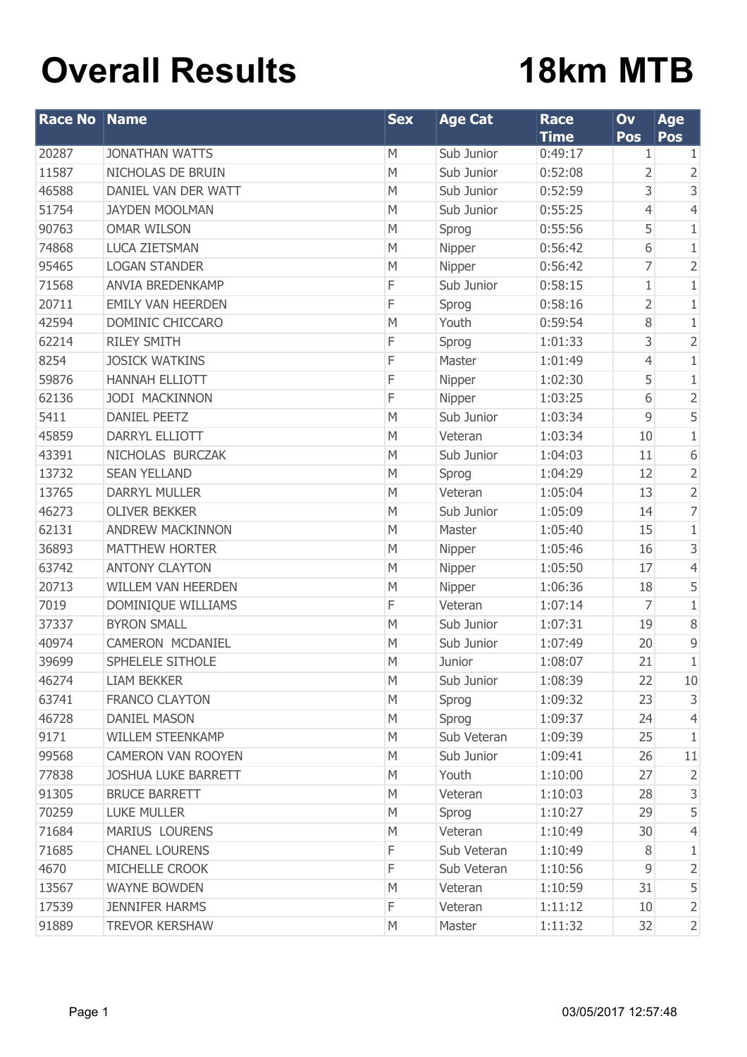# **Overall Results**

# **18km MTB**

| <b>Race No</b> | Name                       | <b>Sex</b> | <b>Age Cat</b> | <b>Race</b><br><b>Time</b> | Ov<br>Pos      | Age<br>Pos     |
|----------------|----------------------------|------------|----------------|----------------------------|----------------|----------------|
| 20287          | <b>JONATHAN WATTS</b>      | M          | Sub Junior     | 0:49:17                    | 1              | 1              |
| 11587          | NICHOLAS DE BRUIN          | M          | Sub Junior     | 0:52:08                    | 2              | 2              |
| 46588          | DANIEL VAN DER WATT        | M          | Sub Junior     | 0:52:59                    | 3              | 3              |
| 51754          | <b>JAYDEN MOOLMAN</b>      | M          | Sub Junior     | 0:55:25                    | $\overline{4}$ | $\overline{4}$ |
| 90763          | <b>OMAR WILSON</b>         | M          | Sprog          | 0:55:56                    | 5              | $1\,$          |
| 74868          | <b>LUCA ZIETSMAN</b>       | M          | Nipper         | 0:56:42                    | 6              | $1\,$          |
| 95465          | <b>LOGAN STANDER</b>       | M          | Nipper         | 0:56:42                    | 7              | $\overline{2}$ |
| 71568          | <b>ANVIA BREDENKAMP</b>    | F          | Sub Junior     | 0:58:15                    | 1              | $1\,$          |
| 20711          | <b>EMILY VAN HEERDEN</b>   | F          | Sprog          | 0:58:16                    | $\overline{2}$ | $1\,$          |
| 42594          | DOMINIC CHICCARO           | M          | Youth          | 0:59:54                    | 8              | $1\,$          |
| 62214          | <b>RILEY SMITH</b>         | F          | Sprog          | 1:01:33                    | 3              | $\overline{2}$ |
| 8254           | <b>JOSICK WATKINS</b>      | F          | Master         | 1:01:49                    | $\overline{4}$ | $1\,$          |
| 59876          | <b>HANNAH ELLIOTT</b>      | F          | Nipper         | 1:02:30                    | 5              | $1\,$          |
| 62136          | JODI MACKINNON             | F          | Nipper         | 1:03:25                    | 6              | $\overline{2}$ |
| 5411           | <b>DANIEL PEETZ</b>        | M          | Sub Junior     | 1:03:34                    | 9              | 5              |
| 45859          | DARRYL ELLIOTT             | M          | Veteran        | 1:03:34                    | 10             | $1\,$          |
| 43391          | NICHOLAS BURCZAK           | M          | Sub Junior     | 1:04:03                    | 11             | 6              |
| 13732          | <b>SEAN YELLAND</b>        | M          | Sprog          | 1:04:29                    | 12             | $\overline{2}$ |
| 13765          | <b>DARRYL MULLER</b>       | M          | Veteran        | 1:05:04                    | 13             | $\overline{2}$ |
| 46273          | <b>OLIVER BEKKER</b>       | M          | Sub Junior     | 1:05:09                    | 14             | 7              |
| 62131          | <b>ANDREW MACKINNON</b>    | M          | Master         | 1:05:40                    | 15             | $1\,$          |
| 36893          | <b>MATTHEW HORTER</b>      | M          | Nipper         | 1:05:46                    | 16             | 3              |
| 63742          | <b>ANTONY CLAYTON</b>      | M          | Nipper         | 1:05:50                    | 17             | 4              |
| 20713          | <b>WILLEM VAN HEERDEN</b>  | M          | Nipper         | 1:06:36                    | 18             | 5              |
| 7019           | DOMINIQUE WILLIAMS         | F          | Veteran        | 1:07:14                    | 7              | $\mathbf 1$    |
| 37337          | <b>BYRON SMALL</b>         | M          | Sub Junior     | 1:07:31                    | 19             | $\, 8$         |
| 40974          | CAMERON MCDANIEL           | M          | Sub Junior     | 1:07:49                    | 20             | 9              |
| 39699          | SPHELELE SITHOLE           | M          | Junior         | 1:08:07                    | 21             | $\mathbf 1$    |
| 46274          | <b>LIAM BEKKER</b>         | M          | Sub Junior     | 1:08:39                    | 22             | 10             |
| 63741          | <b>FRANCO CLAYTON</b>      | M          | Sprog          | 1:09:32                    | 23             | 3              |
| 46728          | <b>DANIEL MASON</b>        | M          | Sprog          | 1:09:37                    | 24             | $\overline{4}$ |
| 9171           | <b>WILLEM STEENKAMP</b>    | M          | Sub Veteran    | 1:09:39                    | 25             | 1              |
| 99568          | <b>CAMERON VAN ROOYEN</b>  | M          | Sub Junior     | 1:09:41                    | 26             | 11             |
| 77838          | <b>JOSHUA LUKE BARRETT</b> | M          | Youth          | 1:10:00                    | 27             | $\overline{2}$ |
| 91305          | <b>BRUCE BARRETT</b>       | M          | Veteran        | 1:10:03                    | 28             | 3              |
| 70259          | <b>LUKE MULLER</b>         | M          | Sprog          | 1:10:27                    | 29             | 5              |
| 71684          | <b>MARIUS LOURENS</b>      | M          | Veteran        | 1:10:49                    | 30             | 4              |
| 71685          | <b>CHANEL LOURENS</b>      | F          | Sub Veteran    | 1:10:49                    | 8              | 1              |
| 4670           | MICHELLE CROOK             | F          | Sub Veteran    | 1:10:56                    | 9              | 2              |
| 13567          | <b>WAYNE BOWDEN</b>        | M          | Veteran        | 1:10:59                    | 31             | 5              |
| 17539          | <b>JENNIFER HARMS</b>      | F          | Veteran        | 1:11:12                    | 10             | $\overline{2}$ |
| 91889          | <b>TREVOR KERSHAW</b>      | M          | Master         | 1:11:32                    | 32             | $\overline{2}$ |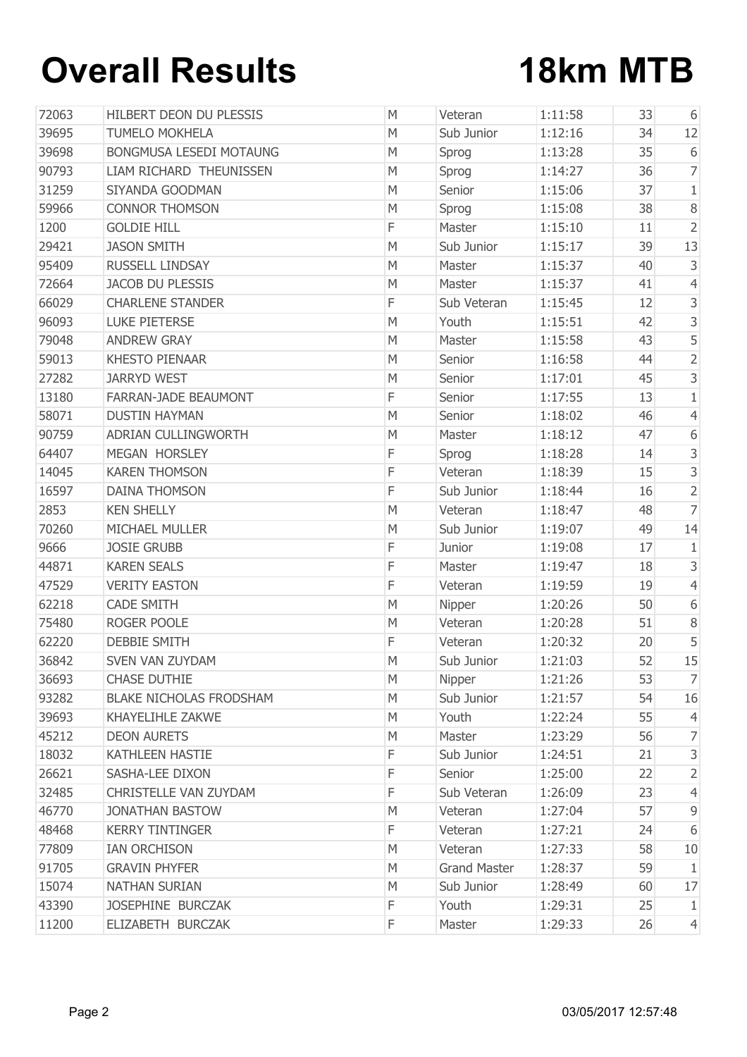# **Overall Results 18km MTB**

| 72063 | HILBERT DEON DU PLESSIS        | M | Veteran             | 1:11:58 | 33 | 6                       |
|-------|--------------------------------|---|---------------------|---------|----|-------------------------|
| 39695 | <b>TUMELO MOKHELA</b>          | M | Sub Junior          | 1:12:16 | 34 | 12                      |
| 39698 | <b>BONGMUSA LESEDI MOTAUNG</b> | M | Sprog               | 1:13:28 | 35 | 6                       |
| 90793 | LIAM RICHARD THEUNISSEN        | M | Sprog               | 1:14:27 | 36 | $\overline{7}$          |
| 31259 | SIYANDA GOODMAN                | M | Senior              | 1:15:06 | 37 | $\mathbf{1}$            |
| 59966 | <b>CONNOR THOMSON</b>          | M | Sprog               | 1:15:08 | 38 | $\,8\,$                 |
| 1200  | <b>GOLDIE HILL</b>             | F | Master              | 1:15:10 | 11 | $\overline{2}$          |
| 29421 | <b>JASON SMITH</b>             | M | Sub Junior          | 1:15:17 | 39 | 13                      |
| 95409 | RUSSELL LINDSAY                | M | Master              | 1:15:37 | 40 | 3                       |
| 72664 | <b>JACOB DU PLESSIS</b>        | M | Master              | 1:15:37 | 41 | $\overline{4}$          |
| 66029 | <b>CHARLENE STANDER</b>        | F | Sub Veteran         | 1:15:45 | 12 | 3                       |
| 96093 | <b>LUKE PIETERSE</b>           | M | Youth               | 1:15:51 | 42 | 3                       |
| 79048 | <b>ANDREW GRAY</b>             | M | Master              | 1:15:58 | 43 | 5                       |
| 59013 | <b>KHESTO PIENAAR</b>          | M | Senior              | 1:16:58 | 44 | $\overline{2}$          |
| 27282 | <b>JARRYD WEST</b>             | M | Senior              | 1:17:01 | 45 | 3                       |
| 13180 | FARRAN-JADE BEAUMONT           | F | Senior              | 1:17:55 | 13 | $\mathbf{1}$            |
| 58071 | <b>DUSTIN HAYMAN</b>           | M | Senior              | 1:18:02 | 46 | $\left 4\right $        |
| 90759 | ADRIAN CULLINGWORTH            | M | Master              | 1:18:12 | 47 | 6                       |
| 64407 | MEGAN HORSLEY                  | F | Sprog               | 1:18:28 | 14 | 3                       |
| 14045 | <b>KAREN THOMSON</b>           | F | Veteran             | 1:18:39 | 15 | 3                       |
| 16597 | <b>DAINA THOMSON</b>           | F | Sub Junior          | 1:18:44 | 16 | $\overline{2}$          |
| 2853  | <b>KEN SHELLY</b>              | M | Veteran             | 1:18:47 | 48 | $\overline{7}$          |
| 70260 | MICHAEL MULLER                 | M | Sub Junior          | 1:19:07 | 49 | 14                      |
| 9666  | <b>JOSIE GRUBB</b>             | F | Junior              | 1:19:08 | 17 | $\mathbf{1}$            |
| 44871 | <b>KAREN SEALS</b>             | F | Master              | 1:19:47 | 18 | 3                       |
| 47529 | <b>VERITY EASTON</b>           | F | Veteran             | 1:19:59 | 19 | $\overline{4}$          |
| 62218 | <b>CADE SMITH</b>              | M | Nipper              | 1:20:26 | 50 | 6                       |
| 75480 | ROGER POOLE                    | M | Veteran             | 1:20:28 | 51 | $\,8\,$                 |
| 62220 | <b>DEBBIE SMITH</b>            | F | Veteran             | 1:20:32 | 20 | 5                       |
| 36842 | <b>SVEN VAN ZUYDAM</b>         | M | Sub Junior          | 1:21:03 | 52 | 15                      |
| 36693 | <b>CHASE DUTHIE</b>            | M | Nipper              | 1:21:26 | 53 | $\overline{7}$          |
| 93282 | <b>BLAKE NICHOLAS FRODSHAM</b> | M | Sub Junior          | 1:21:57 | 54 | 16                      |
| 39693 | <b>KHAYELIHLE ZAKWE</b>        | M | Youth               | 1:22:24 | 55 | 4                       |
| 45212 | <b>DEON AURETS</b>             | M | Master              | 1:23:29 | 56 | $\overline{7}$          |
| 18032 | KATHLEEN HASTIE                | F | Sub Junior          | 1:24:51 | 21 | $\overline{\mathbf{3}}$ |
| 26621 | SASHA-LEE DIXON                | F | Senior              | 1:25:00 | 22 | $\overline{2}$          |
| 32485 | CHRISTELLE VAN ZUYDAM          | F | Sub Veteran         | 1:26:09 | 23 | $\overline{4}$          |
| 46770 | <b>JONATHAN BASTOW</b>         | M | Veteran             | 1:27:04 | 57 | 9                       |
| 48468 | <b>KERRY TINTINGER</b>         | F | Veteran             | 1:27:21 | 24 | 6                       |
| 77809 | <b>IAN ORCHISON</b>            | M | Veteran             | 1:27:33 | 58 | 10                      |
| 91705 | <b>GRAVIN PHYFER</b>           | M | <b>Grand Master</b> | 1:28:37 | 59 | $\mathbf{1}$            |
| 15074 | <b>NATHAN SURIAN</b>           | M | Sub Junior          | 1:28:49 | 60 | 17                      |
| 43390 | JOSEPHINE BURCZAK              | F | Youth               | 1:29:31 | 25 | $\mathbf{1}$            |
| 11200 | ELIZABETH BURCZAK              | F | Master              | 1:29:33 | 26 | $\overline{4}$          |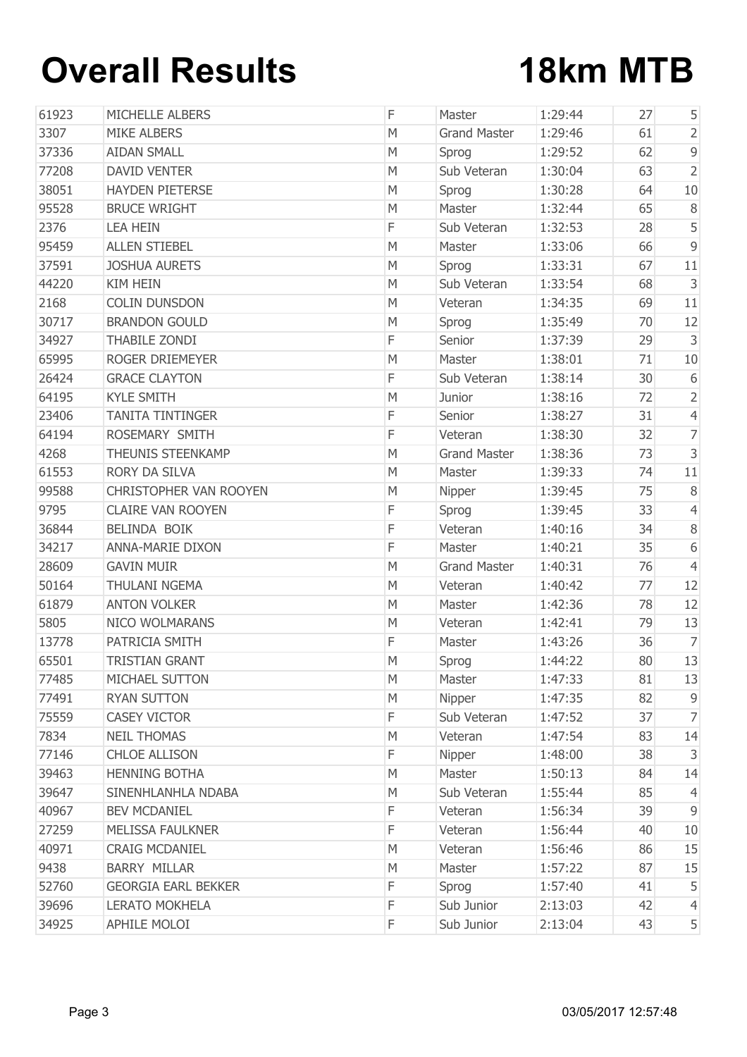## **Overall Results 18km MTB**

| 61923 | <b>MICHELLE ALBERS</b>     | F | Master              | 1:29:44 | 27 | 5              |
|-------|----------------------------|---|---------------------|---------|----|----------------|
| 3307  | <b>MIKE ALBERS</b>         | M | <b>Grand Master</b> | 1:29:46 | 61 | $\overline{2}$ |
| 37336 | <b>AIDAN SMALL</b>         | M | Sprog               | 1:29:52 | 62 | 9              |
| 77208 | <b>DAVID VENTER</b>        | M | Sub Veteran         | 1:30:04 | 63 | $\overline{2}$ |
| 38051 | <b>HAYDEN PIETERSE</b>     | M | Sprog               | 1:30:28 | 64 | 10             |
| 95528 | <b>BRUCE WRIGHT</b>        | M | Master              | 1:32:44 | 65 | $\, 8$         |
| 2376  | <b>LEA HEIN</b>            | F | Sub Veteran         | 1:32:53 | 28 | 5              |
| 95459 | <b>ALLEN STIEBEL</b>       | M | Master              | 1:33:06 | 66 | $\mathsf 9$    |
| 37591 | <b>JOSHUA AURETS</b>       | M | Sprog               | 1:33:31 | 67 | 11             |
| 44220 | <b>KIM HEIN</b>            | M | Sub Veteran         | 1:33:54 | 68 | $\mathsf 3$    |
| 2168  | <b>COLIN DUNSDON</b>       | M | Veteran             | 1:34:35 | 69 | 11             |
| 30717 | <b>BRANDON GOULD</b>       | M | Sprog               | 1:35:49 | 70 | 12             |
| 34927 | <b>THABILE ZONDI</b>       | F | Senior              | 1:37:39 | 29 | 3              |
| 65995 | ROGER DRIEMEYER            | M | Master              | 1:38:01 | 71 | 10             |
| 26424 | <b>GRACE CLAYTON</b>       | F | Sub Veteran         | 1:38:14 | 30 | 6              |
| 64195 | <b>KYLE SMITH</b>          | M | Junior              | 1:38:16 | 72 | $\overline{2}$ |
| 23406 | <b>TANITA TINTINGER</b>    | F | Senior              | 1:38:27 | 31 | $\overline{4}$ |
| 64194 | ROSEMARY SMITH             | F | Veteran             | 1:38:30 | 32 | $\overline{7}$ |
| 4268  | <b>THEUNIS STEENKAMP</b>   | M | <b>Grand Master</b> | 1:38:36 | 73 | $\mathsf 3$    |
| 61553 | <b>RORY DA SILVA</b>       | M | Master              | 1:39:33 | 74 | 11             |
| 99588 | CHRISTOPHER VAN ROOYEN     | M | Nipper              | 1:39:45 | 75 | $8\,$          |
| 9795  | <b>CLAIRE VAN ROOYEN</b>   | F | Sprog               | 1:39:45 | 33 | $\overline{4}$ |
| 36844 | BELINDA BOIK               | F | Veteran             | 1:40:16 | 34 | $\, 8$         |
| 34217 | <b>ANNA-MARIE DIXON</b>    | F | Master              | 1:40:21 | 35 | 6              |
| 28609 | <b>GAVIN MUIR</b>          | M | <b>Grand Master</b> | 1:40:31 | 76 | $\overline{4}$ |
| 50164 | <b>THULANI NGEMA</b>       | M | Veteran             | 1:40:42 | 77 | 12             |
| 61879 | <b>ANTON VOLKER</b>        | M | Master              | 1:42:36 | 78 | 12             |
| 5805  | <b>NICO WOLMARANS</b>      | M | Veteran             | 1:42:41 | 79 | 13             |
| 13778 | PATRICIA SMITH             | F | Master              | 1:43:26 | 36 | $\overline{7}$ |
| 65501 | <b>TRISTIAN GRANT</b>      | M | Sprog               | 1:44:22 | 80 | 13             |
| 77485 | MICHAEL SUTTON             | M | Master              | 1:47:33 | 81 | 13             |
| 77491 | <b>RYAN SUTTON</b>         | M | Nipper              | 1:47:35 | 82 | $\overline{9}$ |
| 75559 | <b>CASEY VICTOR</b>        | F | Sub Veteran         | 1:47:52 | 37 | $\overline{7}$ |
| 7834  | <b>NEIL THOMAS</b>         | M | Veteran             | 1:47:54 | 83 | 14             |
| 77146 | <b>CHLOE ALLISON</b>       | F | Nipper              | 1:48:00 | 38 | 3              |
| 39463 | <b>HENNING BOTHA</b>       | M | Master              | 1:50:13 | 84 | 14             |
| 39647 | SINENHLANHLA NDABA         | M | Sub Veteran         | 1:55:44 | 85 | 4              |
| 40967 | <b>BEV MCDANIEL</b>        | F | Veteran             | 1:56:34 | 39 | $\mathsf 9$    |
| 27259 | MELISSA FAULKNER           | F | Veteran             | 1:56:44 | 40 | 10             |
| 40971 | <b>CRAIG MCDANIEL</b>      | M | Veteran             | 1:56:46 | 86 | 15             |
| 9438  | <b>BARRY MILLAR</b>        | M | Master              | 1:57:22 | 87 | 15             |
| 52760 | <b>GEORGIA EARL BEKKER</b> | F | Sprog               | 1:57:40 | 41 | 5              |
| 39696 | <b>LERATO MOKHELA</b>      | F | Sub Junior          | 2:13:03 | 42 | $\overline{4}$ |
| 34925 | APHILE MOLOI               | F | Sub Junior          | 2:13:04 | 43 | 5 <sup>1</sup> |